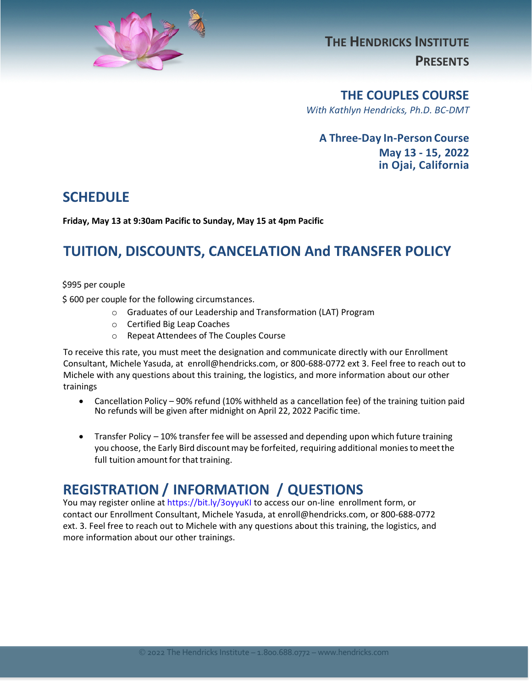

**THE HENDRICKS INSTITUTE PRESENTS**

**THE COUPLES COURSE**

*With Kathlyn Hendricks, Ph.D. BC-DMT*

**A Three-Day In-Person Course May 13 - 15, 2022 in Ojai, California** 

### **SCHEDULE**

**Friday, May 13 at 9:30am Pacific to Sunday, May 15 at 4pm Pacific** 

## **TUITION, DISCOUNTS, CANCELATION And TRANSFER POLICY**

\$995 per couple

\$ 600 per couple for the following circumstances.

- o Graduates of our Leadership and Transformation (LAT) Program
- o Certified Big Leap Coaches
- o Repeat Attendees of The Couples Course

To receive this rate, you must meet the designation and communicate directly with our Enrollment Consultant, Michele Yasuda, at enroll@hendricks.com, or 800-688-0772 ext 3. Feel free to reach out to Michele with any questions about this training, the logistics, and more information about our other trainings

- Cancellation Policy 90% refund (10% withheld as a cancellation fee) of the training tuition paid No refunds will be given after midnight on April 22, 2022 Pacific time.
- Transfer Policy 10% transfer fee will be assessed and depending upon which future training you choose, the Early Bird discount may be forfeited, requiring additional monies to meet the full tuition amount for that training.

### **REGISTRATION / INFORMATION / QUESTIONS**

You may register online at <https://bit.ly/3oyyuKI> to access our on-line enrollment form, or contact our Enrollment Consultant, Michele Yasuda, at enroll@hendricks.com, or 800-688-0772 ext. 3. Feel free to reach out to Michele with any questions about this training, the logistics, and more information about our other trainings.